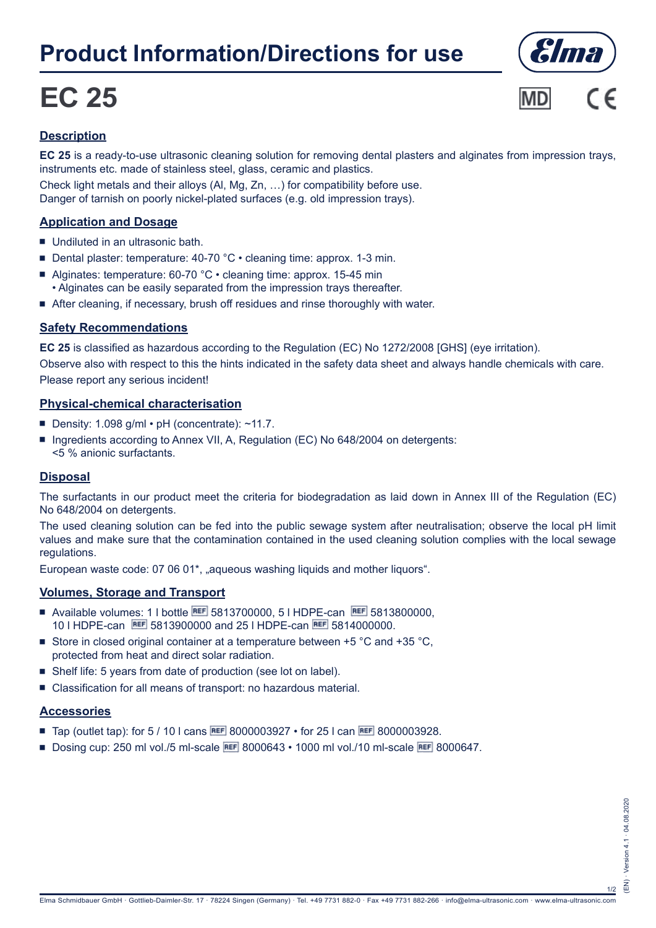## **Product Information/Directions for use**

# **EC 25**





#### **Description**

**EC 25** is a ready-to-use ultrasonic cleaning solution for removing dental plasters and alginates from impression trays, instruments etc. made of stainless steel, glass, ceramic and plastics.

Check light metals and their alloys (Al, Mg, Zn, …) for compatibility before use. Danger of tarnish on poorly nickel-plated surfaces (e.g. old impression trays).

#### **Application and Dosage**

- $\blacksquare$  Undiluted in an ultrasonic bath.
- Dental plaster: temperature: 40-70 °C cleaning time: approx. 1-3 min.
- Alginates: temperature:  $60-70$  °C  $\cdot$  cleaning time: approx. 15-45 min • Alginates can be easily separated from the impression trays thereafter.
- After cleaning, if necessary, brush off residues and rinse thoroughly with water.

#### **Safety Recommendations**

**EC 25** is classified as hazardous according to the Regulation (EC) No 1272/2008 [GHS] (eye irritation). Observe also with respect to this the hints indicated in the safety data sheet and always handle chemicals with care. Please report any serious incident!

#### **Physical-chemical characterisation**

- Density: 1.098 g/ml pH (concentrate):  $~1.7$ .
- Ingredients according to Annex VII, A, Regulation (EC) No 648/2004 on detergents: <5 % anionic surfactants.

#### **Disposal**

The surfactants in our product meet the criteria for biodegradation as laid down in Annex III of the Regulation (EC) No 648/2004 on detergents.

The used cleaning solution can be fed into the public sewage system after neutralisation; observe the local pH limit values and make sure that the contamination contained in the used cleaning solution complies with the local sewage regulations.

European waste code: 07 06 01\*, "aqueous washing liquids and mother liquors".

#### **Volumes, Storage and Transport**

- Available volumes: 1 l bottle REF 5813700000, 5 l HDPE-can REF 5813800000. 10 I HDPE-can **REF** 5813900000 and 25 I HDPE-can REF 5814000000.
- Store in closed original container at a temperature between  $+5$  °C and  $+35$  °C, protected from heat and direct solar radiation.
- Shelf life: 5 years from date of production (see lot on label).
- Classification for all means of transport: no hazardous material.

#### **Accessories**

- Tap (outlet tap): for 5 / 10 l cans REF 8000003927 for 25 l can REF 8000003928.
- Dosing cup: 250 ml vol./5 ml-scale REF 8000643 1000 ml vol./10 ml-scale REF 8000647.

1/2